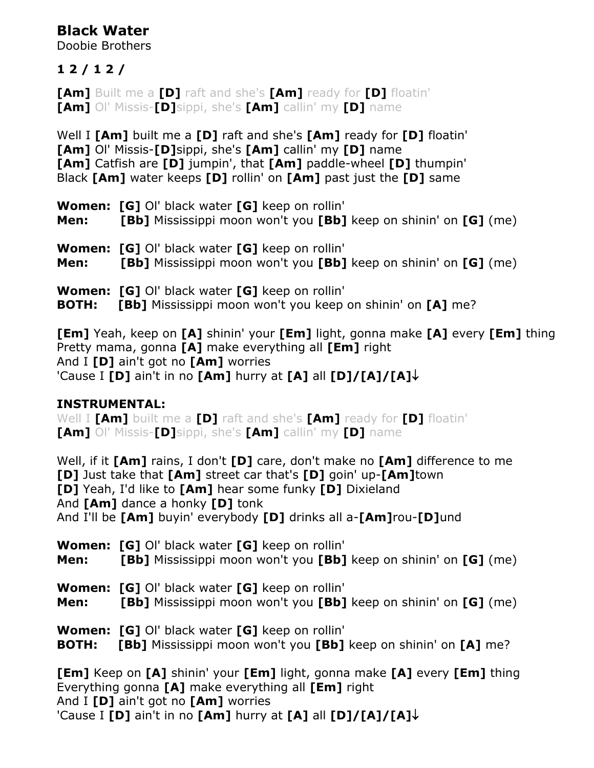# **Black Water**

Doobie Brothers

### **1 2 / 1 2 /**

**[Am]** Built me a **[D]** raft and she's **[Am]** ready for **[D]** floatin' **[Am]** Ol' Missis-**[D]**sippi, she's **[Am]** callin' my **[D]** name

Well I **[Am]** built me a **[D]** raft and she's **[Am]** ready for **[D]** floatin' **[Am]** Ol' Missis-**[D]**sippi, she's **[Am]** callin' my **[D]** name **[Am]** Catfish are **[D]** jumpin', that **[Am]** paddle-wheel **[D]** thumpin' Black **[Am]** water keeps **[D]** rollin' on **[Am]** past just the **[D]** same

| Men: | <b>Women: [G]</b> OI' black water <b>[G]</b> keep on rollin'<br>[Bb] Mississippi moon won't you [Bb] keep on shinin' on [G] (me)        |
|------|-----------------------------------------------------------------------------------------------------------------------------------------|
| Men: | <b>Women: [G]</b> OI' black water <b>[G]</b> keep on rollin'<br><b>[Bb]</b> Mississippi moon won't you [Bb] keep on shinin' on [G] (me) |
|      |                                                                                                                                         |

**Women: [G]** Ol' black water **[G]** keep on rollin' **BOTH: [Bb]** Mississippi moon won't you keep on shinin' on **[A]** me?

**[Em]** Yeah, keep on **[A]** shinin' your **[Em]** light, gonna make **[A]** every **[Em]** thing Pretty mama, gonna **[A]** make everything all **[Em]** right And I **[D]** ain't got no **[Am]** worries 'Cause I **[D]** ain't in no **[Am]** hurry at **[A]** all **[D]/[A]/[A]**

#### **INSTRUMENTAL:**

Well I **[Am]** built me a **[D]** raft and she's **[Am]** ready for **[D]** floatin' **[Am]** Ol' Missis-**[D]**sippi, she's **[Am]** callin' my **[D]** name

Well, if it **[Am]** rains, I don't **[D]** care, don't make no **[Am]** difference to me **[D]** Just take that **[Am]** street car that's **[D]** goin' up-**[Am]**town **[D]** Yeah, I'd like to **[Am]** hear some funky **[D]** Dixieland And **[Am]** dance a honky **[D]** tonk And I'll be **[Am]** buyin' everybody **[D]** drinks all a-**[Am]**rou-**[D]**und

**Women: [G]** Ol' black water **[G]** keep on rollin' **Men: [Bb]** Mississippi moon won't you **[Bb]** keep on shinin' on **[G]** (me) **Women: [G]** Ol' black water **[G]** keep on rollin' **Men: [Bb]** Mississippi moon won't you **[Bb]** keep on shinin' on **[G]** (me)

**Women: [G]** Ol' black water **[G]** keep on rollin'

**BOTH: [Bb]** Mississippi moon won't you **[Bb]** keep on shinin' on **[A]** me?

**[Em]** Keep on **[A]** shinin' your **[Em]** light, gonna make **[A]** every **[Em]** thing Everything gonna **[A]** make everything all **[Em]** right And I **[D]** ain't got no **[Am]** worries 'Cause I **[D]** ain't in no **[Am]** hurry at **[A]** all **[D]/[A]/[A]**